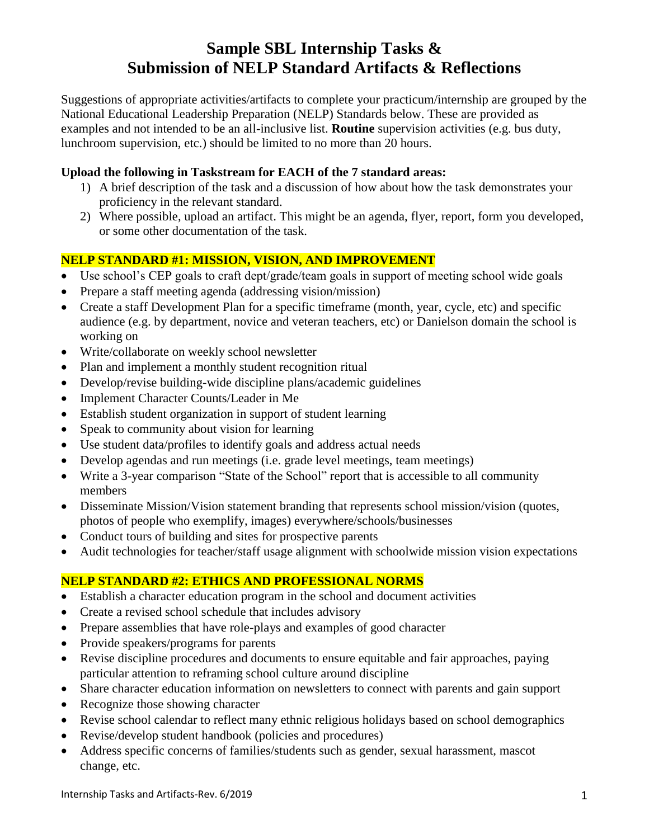# **Sample SBL Internship Tasks & Submission of NELP Standard Artifacts & Reflections**

Suggestions of appropriate activities/artifacts to complete your practicum/internship are grouped by the National Educational Leadership Preparation (NELP) Standards below. These are provided as examples and not intended to be an all-inclusive list. **Routine** supervision activities (e.g. bus duty, lunchroom supervision, etc.) should be limited to no more than 20 hours.

#### **Upload the following in Taskstream for EACH of the 7 standard areas:**

- 1) A brief description of the task and a discussion of how about how the task demonstrates your proficiency in the relevant standard.
- 2) Where possible, upload an artifact. This might be an agenda, flyer, report, form you developed, or some other documentation of the task.

## **NELP STANDARD #1: MISSION, VISION, AND IMPROVEMENT**

- Use school's CEP goals to craft dept/grade/team goals in support of meeting school wide goals
- Prepare a staff meeting agenda (addressing vision/mission)
- Create a staff Development Plan for a specific timeframe (month, year, cycle, etc) and specific audience (e.g. by department, novice and veteran teachers, etc) or Danielson domain the school is working on
- Write/collaborate on weekly school newsletter
- Plan and implement a monthly student recognition ritual
- Develop/revise building-wide discipline plans/academic guidelines
- Implement Character Counts/Leader in Me
- Establish student organization in support of student learning
- Speak to community about vision for learning
- Use student data/profiles to identify goals and address actual needs
- Develop agendas and run meetings (i.e. grade level meetings, team meetings)
- Write a 3-year comparison "State of the School" report that is accessible to all community members
- Disseminate Mission/Vision statement branding that represents school mission/vision (quotes, photos of people who exemplify, images) everywhere/schools/businesses
- Conduct tours of building and sites for prospective parents
- Audit technologies for teacher/staff usage alignment with schoolwide mission vision expectations

## **NELP STANDARD #2: ETHICS AND PROFESSIONAL NORMS**

- Establish a character education program in the school and document activities
- Create a revised school schedule that includes advisory
- Prepare assemblies that have role-plays and examples of good character
- Provide speakers/programs for parents
- Revise discipline procedures and documents to ensure equitable and fair approaches, paying particular attention to reframing school culture around discipline
- Share character education information on newsletters to connect with parents and gain support
- Recognize those showing character
- Revise school calendar to reflect many ethnic religious holidays based on school demographics
- Revise/develop student handbook (policies and procedures)
- Address specific concerns of families/students such as gender, sexual harassment, mascot change, etc.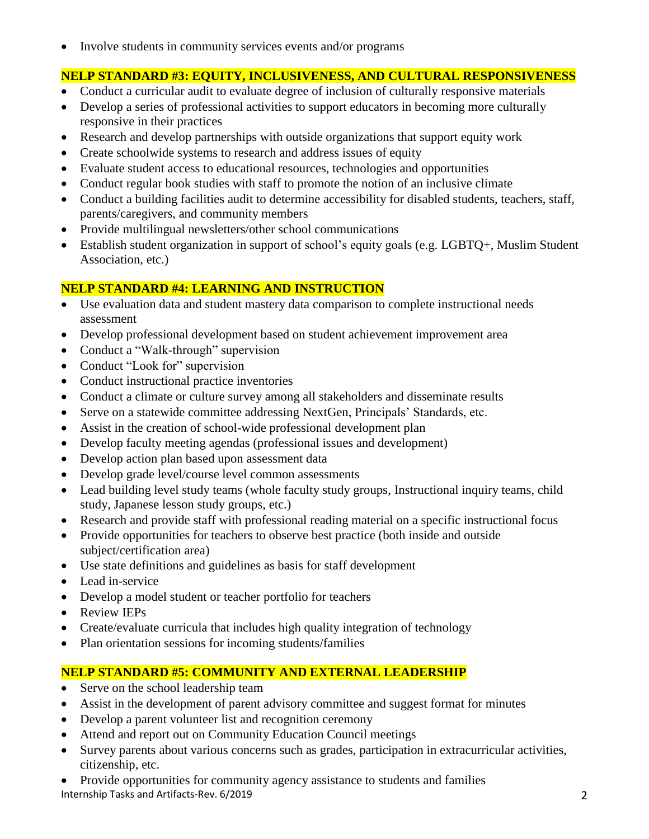• Involve students in community services events and/or programs

## **NELP STANDARD #3: EQUITY, INCLUSIVENESS, AND CULTURAL RESPONSIVENESS**

- Conduct a curricular audit to evaluate degree of inclusion of culturally responsive materials
- Develop a series of professional activities to support educators in becoming more culturally responsive in their practices
- Research and develop partnerships with outside organizations that support equity work
- Create schoolwide systems to research and address issues of equity
- Evaluate student access to educational resources, technologies and opportunities
- Conduct regular book studies with staff to promote the notion of an inclusive climate
- Conduct a building facilities audit to determine accessibility for disabled students, teachers, staff, parents/caregivers, and community members
- Provide multilingual newsletters/other school communications
- Establish student organization in support of school's equity goals (e.g. LGBTQ+, Muslim Student Association, etc.)

## **NELP STANDARD #4: LEARNING AND INSTRUCTION**

- Use evaluation data and student mastery data comparison to complete instructional needs assessment
- Develop professional development based on student achievement improvement area
- Conduct a "Walk-through" supervision
- Conduct "Look for" supervision
- Conduct instructional practice inventories
- Conduct a climate or culture survey among all stakeholders and disseminate results
- Serve on a statewide committee addressing NextGen, Principals' Standards, etc.
- Assist in the creation of school-wide professional development plan
- Develop faculty meeting agendas (professional issues and development)
- Develop action plan based upon assessment data
- Develop grade level/course level common assessments
- Lead building level study teams (whole faculty study groups, Instructional inquiry teams, child study, Japanese lesson study groups, etc.)
- Research and provide staff with professional reading material on a specific instructional focus
- Provide opportunities for teachers to observe best practice (both inside and outside subject/certification area)
- Use state definitions and guidelines as basis for staff development
- Lead in-service
- Develop a model student or teacher portfolio for teachers
- Review IEPs
- Create/evaluate curricula that includes high quality integration of technology
- Plan orientation sessions for incoming students/families

## **NELP STANDARD #5: COMMUNITY AND EXTERNAL LEADERSHIP**

- Serve on the school leadership team
- Assist in the development of parent advisory committee and suggest format for minutes
- Develop a parent volunteer list and recognition ceremony
- Attend and report out on Community Education Council meetings
- Survey parents about various concerns such as grades, participation in extracurricular activities, citizenship, etc.
- Internship Tasks and Artifacts-Rev. 6/2019 2 • Provide opportunities for community agency assistance to students and families